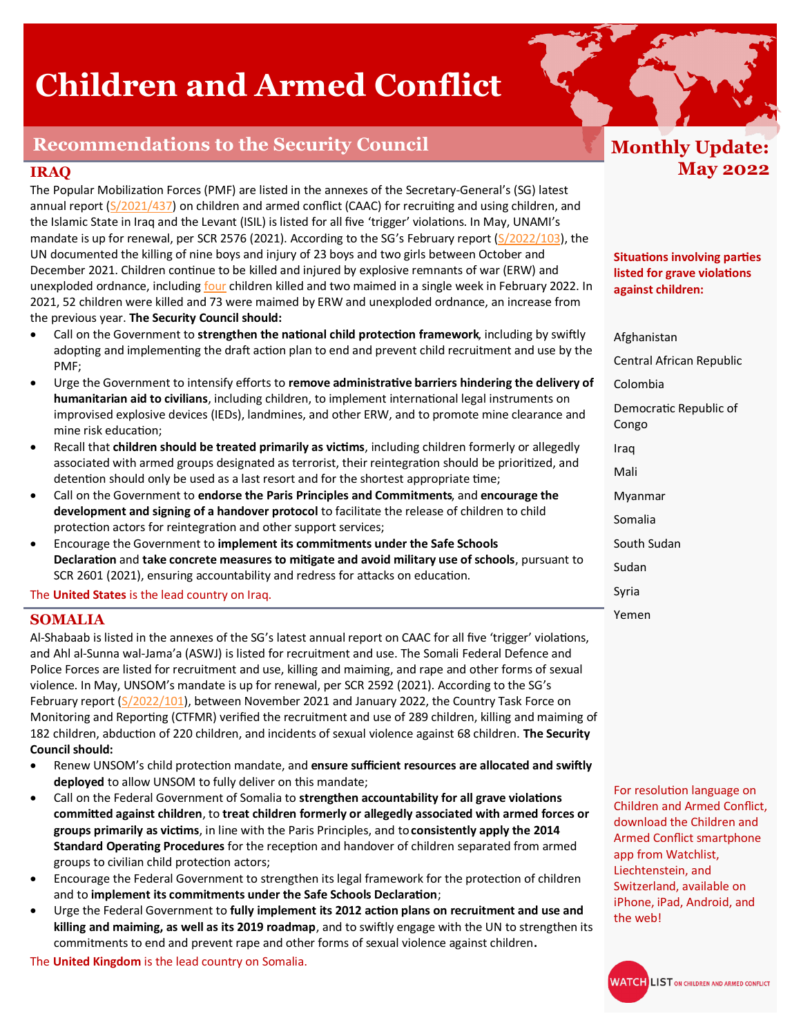# **Children and Armed Conflict**

# **Recommendations to the Security Council**

### **IRAQ**

The Popular Mobilization Forces (PMF) are listed in the annexes of the Secretary-General's (SG) latest annual report [\(S/2021/437\)](https://undocs.org/S/2022/437) on children and armed conflict (CAAC) for recruiting and using children, and the Islamic State in Iraq and the Levant (ISIL) is listed for all five 'trigger' violations. In May, UNAMI's mandate is up for renewal, per SCR 2576 (2021). According to the SG's February report ([S/2022/103\),](https://undocs.org/S/2022/103) the UN documented the killing of nine boys and injury of 23 boys and two girls between October and December 2021. Children continue to be killed and injured by explosive remnants of war (ERW) and unexploded ordnance, including [four](https://www.unicef.org/press-releases/four-children-killed-explosive-ordnance-iraq) children killed and two maimed in a single week in February 2022. In 2021, 52 children were killed and 73 were maimed by ERW and unexploded ordnance, an increase from the previous year. **The Security Council should:** 

- Call on the Government to **strengthen the national child protection framework**, including by swiftly adopting and implementing the draft action plan to end and prevent child recruitment and use by the PMF;
- Urge the Government to intensify efforts to **remove administrative barriers hindering the delivery of humanitarian aid to civilians**, including children, to implement international legal instruments on improvised explosive devices (IEDs), landmines, and other ERW, and to promote mine clearance and mine risk education;
- Recall that **children should be treated primarily as victims**, including children formerly or allegedly associated with armed groups designated as terrorist, their reintegration should be prioritized, and detention should only be used as a last resort and for the shortest appropriate time;
- Call on the Government to **endorse the Paris Principles and Commitments**, and **encourage the development and signing of a handover protocol** to facilitate the release of children to child protection actors for reintegration and other support services;
- Encourage the Government to **implement its commitments under the Safe Schools Declaration** and **take concrete measures to mitigate and avoid military use of schools**, pursuant to SCR 2601 (2021), ensuring accountability and redress for attacks on education.

The **United States** is the lead country on Iraq.

### **SOMALIA**

Al-Shabaab is listed in the annexes of the SG's latest annual report on CAAC for all five 'trigger' violations, and Ahl al-Sunna wal-Jama'a (ASWJ) is listed for recruitment and use. The Somali Federal Defence and Police Forces are listed for recruitment and use, killing and maiming, and rape and other forms of sexual violence. In May, UNSOM's mandate is up for renewal, per SCR 2592 (2021). According to the SG's February report ( $\frac{S}{2022/101}$ ), between November 2021 and January 2022, the Country Task Force on Monitoring and Reporting (CTFMR) verified the recruitment and use of 289 children, killing and maiming of 182 children, abduction of 220 children, and incidents of sexual violence against 68 children. **The Security Council should:**

- Renew UNSOM's child protection mandate, and **ensure sufficient resources are allocated and swiftly deployed** to allow UNSOM to fully deliver on this mandate;
- Call on the Federal Government of Somalia to **strengthen accountability for all grave violations committed against children**, to **treat children formerly or allegedly associated with armed forces or groups primarily as victims**, in line with the Paris Principles, and to**consistently apply the 2014 Standard Operating Procedures** for the reception and handover of children separated from armed groups to civilian child protection actors;
- Encourage the Federal Government to strengthen its legal framework for the protection of children and to **implement its commitments under the Safe Schools Declaration**;
- Urge the Federal Government to **fully implement its 2012 action plans on recruitment and use and killing and maiming, as well as its 2019 roadmap**, and to swiftly engage with the UN to strengthen its commitments to end and prevent rape and other forms of sexual violence against children**.**

The **United Kingdom** is the lead country on Somalia.

# **Monthly Update: May 2022**

**Situations involving parties listed for grave violations against children:** 

Afghanistan

Central African Republic

Colombia

Democratic Republic of Congo

Iraq

Mali

Myanmar

Somalia

South Sudan

Sudan

Syria

Yemen

For resolution language on Children and Armed Conflict, download the Children and Armed Conflict smartphone app from Watchlist, Liechtenstein, and Switzerland, available on iPhone, iPad, Android, and the web!